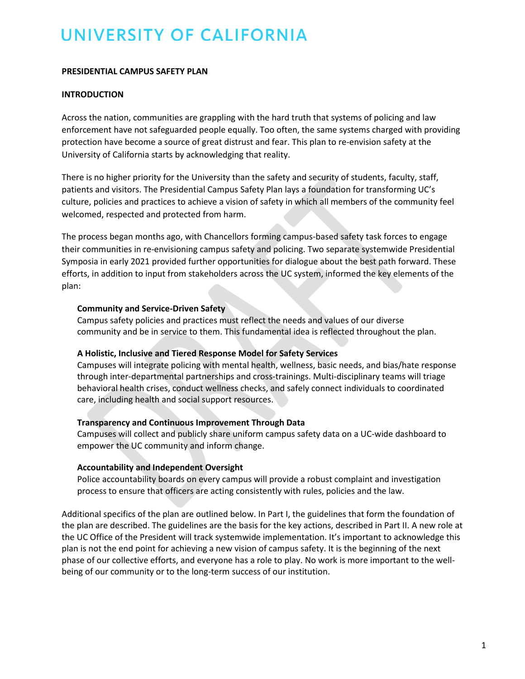## **PRESIDENTIAL CAMPUS SAFETY PLAN**

## **INTRODUCTION**

Across the nation, communities are grappling with the hard truth that systems of policing and law enforcement have not safeguarded people equally. Too often, the same systems charged with providing protection have become a source of great distrust and fear. This plan to re-envision safety at the University of California starts by acknowledging that reality.

There is no higher priority for the University than the safety and security of students, faculty, staff, patients and visitors. The Presidential Campus Safety Plan lays a foundation for transforming UC's culture, policies and practices to achieve a vision of safety in which all members of the community feel welcomed, respected and protected from harm.

The process began months ago, with Chancellors forming campus-based safety task forces to engage their communities in re-envisioning campus safety and policing. Two separate systemwide Presidential Symposia in early 2021 provided further opportunities for dialogue about the best path forward. These efforts, in addition to input from stakeholders across the UC system, informed the key elements of the plan:

## **Community and Service-Driven Safety**

Campus safety policies and practices must reflect the needs and values of our diverse community and be in service to them. This fundamental idea is reflected throughout the plan.

## **A Holistic, Inclusive and Tiered Response Model for Safety Services**

Campuses will integrate policing with mental health, wellness, basic needs, and bias/hate response through inter-departmental partnerships and cross-trainings. Multi-disciplinary teams will triage behavioral health crises, conduct wellness checks, and safely connect individuals to coordinated care, including health and social support resources.

## **Transparency and Continuous Improvement Through Data**

Campuses will collect and publicly share uniform campus safety data on a UC-wide dashboard to empower the UC community and inform change.

## **Accountability and Independent Oversight**

Police accountability boards on every campus will provide a robust complaint and investigation process to ensure that officers are acting consistently with rules, policies and the law.

Additional specifics of the plan are outlined below. In Part I, the guidelines that form the foundation of the plan are described. The guidelines are the basis for the key actions, described in Part II. A new role at the UC Office of the President will track systemwide implementation. It's important to acknowledge this plan is not the end point for achieving a new vision of campus safety. It is the beginning of the next phase of our collective efforts, and everyone has a role to play. No work is more important to the wellbeing of our community or to the long-term success of our institution.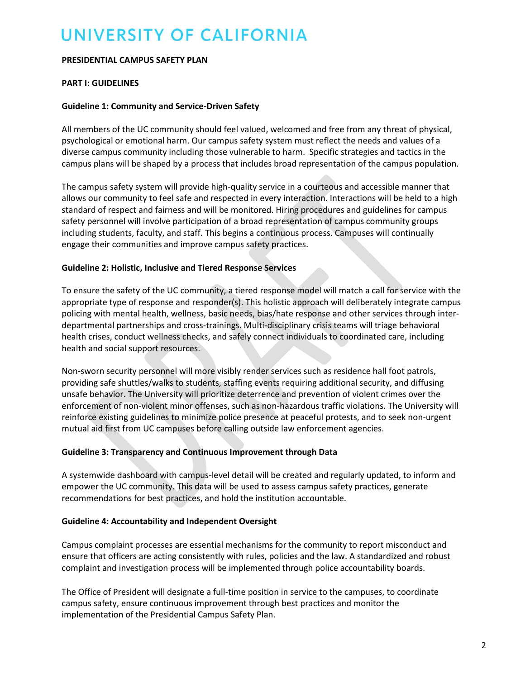#### **PRESIDENTIAL CAMPUS SAFETY PLAN**

## **PART I: GUIDELINES**

## **Guideline 1: Community and Service-Driven Safety**

All members of the UC community should feel valued, welcomed and free from any threat of physical, psychological or emotional harm. Our campus safety system must reflect the needs and values of a diverse campus community including those vulnerable to harm. Specific strategies and tactics in the campus plans will be shaped by a process that includes broad representation of the campus population.

The campus safety system will provide high-quality service in a courteous and accessible manner that allows our community to feel safe and respected in every interaction. Interactions will be held to a high standard of respect and fairness and will be monitored. Hiring procedures and guidelines for campus safety personnel will involve participation of a broad representation of campus community groups including students, faculty, and staff. This begins a continuous process. Campuses will continually engage their communities and improve campus safety practices.

#### **Guideline 2: Holistic, Inclusive and Tiered Response Services**

To ensure the safety of the UC community, a tiered response model will match a call for service with the appropriate type of response and responder(s). This holistic approach will deliberately integrate campus policing with mental health, wellness, basic needs, bias/hate response and other services through interdepartmental partnerships and cross-trainings. Multi-disciplinary crisis teams will triage behavioral health crises, conduct wellness checks, and safely connect individuals to coordinated care, including health and social support resources.

Non-sworn security personnel will more visibly render services such as residence hall foot patrols, providing safe shuttles/walks to students, staffing events requiring additional security, and diffusing unsafe behavior. The University will prioritize deterrence and prevention of violent crimes over the enforcement of non-violent minor offenses, such as non-hazardous traffic violations. The University will reinforce existing guidelines to minimize police presence at peaceful protests, and to seek non-urgent mutual aid first from UC campuses before calling outside law enforcement agencies.

## **Guideline 3: Transparency and Continuous Improvement through Data**

A systemwide dashboard with campus-level detail will be created and regularly updated, to inform and empower the UC community. This data will be used to assess campus safety practices, generate recommendations for best practices, and hold the institution accountable.

## **Guideline 4: Accountability and Independent Oversight**

Campus complaint processes are essential mechanisms for the community to report misconduct and ensure that officers are acting consistently with rules, policies and the law. A standardized and robust complaint and investigation process will be implemented through police accountability boards.

The Office of President will designate a full-time position in service to the campuses, to coordinate campus safety, ensure continuous improvement through best practices and monitor the implementation of the Presidential Campus Safety Plan.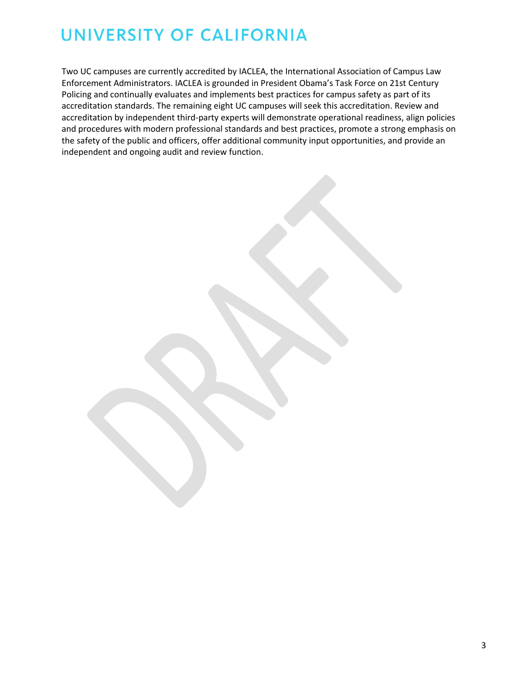Two UC campuses are currently accredited by IACLEA, the International Association of Campus Law Enforcement Administrators. IACLEA is grounded in President Obama's Task Force on 21st Century Policing and continually evaluates and implements best practices for campus safety as part of its accreditation standards. The remaining eight UC campuses will seek this accreditation. Review and accreditation by independent third-party experts will demonstrate operational readiness, align policies and procedures with modern professional standards and best practices, promote a strong emphasis on the safety of the public and officers, offer additional community input opportunities, and provide an independent and ongoing audit and review function.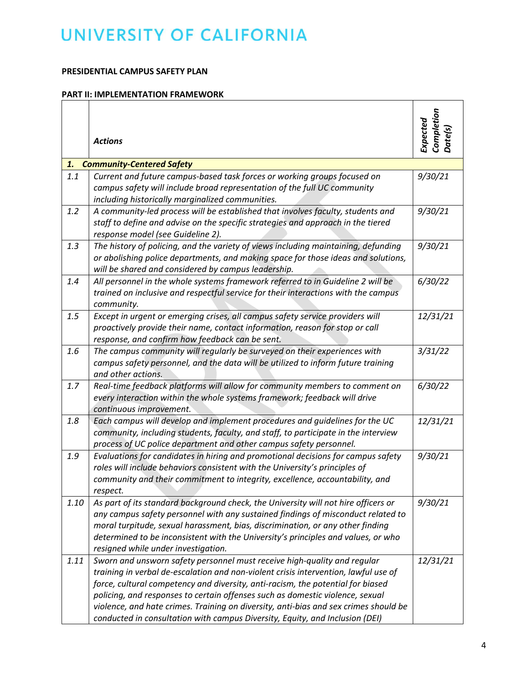## **PRESIDENTIAL CAMPUS SAFETY PLAN**

#### **PART II: IMPLEMENTATION FRAMEWORK**

|      | <b>Actions</b>                                                                                                                                                                                                                                                                                                                                                                                                                                                                                              | Completion<br>Date(s)<br>Expected |
|------|-------------------------------------------------------------------------------------------------------------------------------------------------------------------------------------------------------------------------------------------------------------------------------------------------------------------------------------------------------------------------------------------------------------------------------------------------------------------------------------------------------------|-----------------------------------|
| 1.   | <b>Community-Centered Safety</b>                                                                                                                                                                                                                                                                                                                                                                                                                                                                            |                                   |
| 1.1  | Current and future campus-based task forces or working groups focused on<br>campus safety will include broad representation of the full UC community<br>including historically marginalized communities.                                                                                                                                                                                                                                                                                                    | 9/30/21                           |
| 1.2  | A community-led process will be established that involves faculty, students and<br>staff to define and advise on the specific strategies and approach in the tiered<br>response model (see Guideline 2).                                                                                                                                                                                                                                                                                                    | 9/30/21                           |
| 1.3  | The history of policing, and the variety of views including maintaining, defunding<br>or abolishing police departments, and making space for those ideas and solutions,<br>will be shared and considered by campus leadership.                                                                                                                                                                                                                                                                              | 9/30/21                           |
| 1.4  | All personnel in the whole systems framework referred to in Guideline 2 will be<br>trained on inclusive and respectful service for their interactions with the campus<br>community.                                                                                                                                                                                                                                                                                                                         | 6/30/22                           |
| 1.5  | Except in urgent or emerging crises, all campus safety service providers will<br>proactively provide their name, contact information, reason for stop or call<br>response, and confirm how feedback can be sent.                                                                                                                                                                                                                                                                                            | 12/31/21                          |
| 1.6  | The campus community will regularly be surveyed on their experiences with<br>campus safety personnel, and the data will be utilized to inform future training<br>and other actions.                                                                                                                                                                                                                                                                                                                         | 3/31/22                           |
| 1.7  | Real-time feedback platforms will allow for community members to comment on<br>every interaction within the whole systems framework; feedback will drive<br>continuous improvement.                                                                                                                                                                                                                                                                                                                         | 6/30/22                           |
| 1.8  | Each campus will develop and implement procedures and guidelines for the UC<br>community, including students, faculty, and staff, to participate in the interview<br>process of UC police department and other campus safety personnel.                                                                                                                                                                                                                                                                     | 12/31/21                          |
| 1.9  | Evaluations for candidates in hiring and promotional decisions for campus safety<br>roles will include behaviors consistent with the University's principles of<br>community and their commitment to integrity, excellence, accountability, and<br>respect.                                                                                                                                                                                                                                                 | 9/30/21                           |
| 1.10 | As part of its standard background check, the University will not hire officers or<br>any campus safety personnel with any sustained findings of misconduct related to<br>moral turpitude, sexual harassment, bias, discrimination, or any other finding<br>determined to be inconsistent with the University's principles and values, or who<br>resigned while under investigation.                                                                                                                        | 9/30/21                           |
| 1.11 | Sworn and unsworn safety personnel must receive high-quality and regular<br>training in verbal de-escalation and non-violent crisis intervention, lawful use of<br>force, cultural competency and diversity, anti-racism, the potential for biased<br>policing, and responses to certain offenses such as domestic violence, sexual<br>violence, and hate crimes. Training on diversity, anti-bias and sex crimes should be<br>conducted in consultation with campus Diversity, Equity, and Inclusion (DEI) | 12/31/21                          |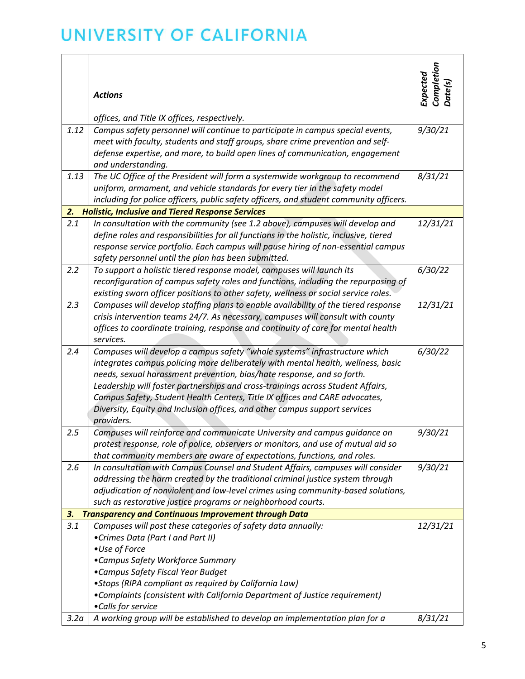|                  |                                                                                        | Completion<br>Expected |
|------------------|----------------------------------------------------------------------------------------|------------------------|
|                  | <b>Actions</b>                                                                         | Date(s)                |
|                  | offices, and Title IX offices, respectively.                                           |                        |
| 1.12             | Campus safety personnel will continue to participate in campus special events,         | 9/30/21                |
|                  | meet with faculty, students and staff groups, share crime prevention and self-         |                        |
|                  | defense expertise, and more, to build open lines of communication, engagement          |                        |
|                  | and understanding.                                                                     |                        |
| 1.13             | The UC Office of the President will form a systemwide workgroup to recommend           | 8/31/21                |
|                  | uniform, armament, and vehicle standards for every tier in the safety model            |                        |
|                  | including for police officers, public safety officers, and student community officers. |                        |
| 2.               | <b>Holistic, Inclusive and Tiered Response Services</b>                                |                        |
| 2.1              | In consultation with the community (see 1.2 above), campuses will develop and          | 12/31/21               |
|                  | define roles and responsibilities for all functions in the holistic, inclusive, tiered |                        |
|                  | response service portfolio. Each campus will pause hiring of non-essential campus      |                        |
|                  | safety personnel until the plan has been submitted.                                    |                        |
| 2.2              | To support a holistic tiered response model, campuses will launch its                  | 6/30/22                |
|                  | reconfiguration of campus safety roles and functions, including the repurposing of     |                        |
|                  | existing sworn officer positions to other safety, wellness or social service roles.    |                        |
| 2.3              | Campuses will develop staffing plans to enable availability of the tiered response     | 12/31/21               |
|                  | crisis intervention teams 24/7. As necessary, campuses will consult with county        |                        |
|                  | offices to coordinate training, response and continuity of care for mental health      |                        |
|                  | services.                                                                              |                        |
| 2.4              | Campuses will develop a campus safety "whole systems" infrastructure which             | 6/30/22                |
|                  | integrates campus policing more deliberately with mental health, wellness, basic       |                        |
|                  | needs, sexual harassment prevention, bias/hate response, and so forth.                 |                        |
|                  | Leadership will foster partnerships and cross-trainings across Student Affairs,        |                        |
|                  | Campus Safety, Student Health Centers, Title IX offices and CARE advocates,            |                        |
|                  | Diversity, Equity and Inclusion offices, and other campus support services             |                        |
|                  | providers.                                                                             |                        |
| 2.5              | Campuses will reinforce and communicate University and campus guidance on              | 9/30/21                |
|                  | protest response, role of police, observers or monitors, and use of mutual aid so      |                        |
|                  | that community members are aware of expectations, functions, and roles.                |                        |
| 2.6              | In consultation with Campus Counsel and Student Affairs, campuses will consider        | 9/30/21                |
|                  | addressing the harm created by the traditional criminal justice system through         |                        |
|                  | adjudication of nonviolent and low-level crimes using community-based solutions,       |                        |
|                  | such as restorative justice programs or neighborhood courts.                           |                        |
| 3.               | <b>Transparency and Continuous Improvement through Data</b>                            |                        |
| 3.1              | Campuses will post these categories of safety data annually:                           | 12/31/21               |
|                  | •Crimes Data (Part I and Part II)                                                      |                        |
|                  | •Use of Force                                                                          |                        |
|                  | •Campus Safety Workforce Summary                                                       |                        |
|                  | •Campus Safety Fiscal Year Budget                                                      |                        |
|                  | • Stops (RIPA compliant as required by California Law)                                 |                        |
|                  | • Complaints (consistent with California Department of Justice requirement)            |                        |
|                  | •Calls for service                                                                     |                        |
| 3.2 <sub>a</sub> | A working group will be established to develop an implementation plan for a            | 8/31/21                |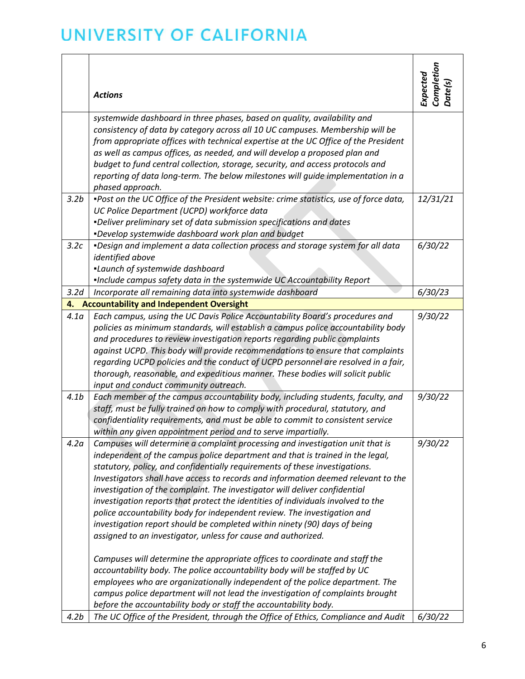|                  | <b>Actions</b>                                                                                                                                                                                                                                                                                                                                                                                                                                                                                                                                                                                                                                                                                                                                                                                                                                                                                                                                                                                                                                                                                                                   | Completion<br>Date(s)<br>Expected |
|------------------|----------------------------------------------------------------------------------------------------------------------------------------------------------------------------------------------------------------------------------------------------------------------------------------------------------------------------------------------------------------------------------------------------------------------------------------------------------------------------------------------------------------------------------------------------------------------------------------------------------------------------------------------------------------------------------------------------------------------------------------------------------------------------------------------------------------------------------------------------------------------------------------------------------------------------------------------------------------------------------------------------------------------------------------------------------------------------------------------------------------------------------|-----------------------------------|
|                  |                                                                                                                                                                                                                                                                                                                                                                                                                                                                                                                                                                                                                                                                                                                                                                                                                                                                                                                                                                                                                                                                                                                                  |                                   |
|                  | systemwide dashboard in three phases, based on quality, availability and<br>consistency of data by category across all 10 UC campuses. Membership will be<br>from appropriate offices with technical expertise at the UC Office of the President<br>as well as campus offices, as needed, and will develop a proposed plan and<br>budget to fund central collection, storage, security, and access protocols and<br>reporting of data long-term. The below milestones will guide implementation in a<br>phased approach.                                                                                                                                                                                                                                                                                                                                                                                                                                                                                                                                                                                                         |                                   |
| 3.2 <sub>b</sub> | .Post on the UC Office of the President website: crime statistics, use of force data,<br>UC Police Department (UCPD) workforce data<br><i>-Deliver preliminary set of data submission specifications and dates</i><br>.Develop systemwide dashboard work plan and budget                                                                                                                                                                                                                                                                                                                                                                                                                                                                                                                                                                                                                                                                                                                                                                                                                                                         | 12/31/21                          |
| 3.2c             | . Design and implement a data collection process and storage system for all data<br>identified above<br>.Launch of systemwide dashboard<br>.Include campus safety data in the systemwide UC Accountability Report                                                                                                                                                                                                                                                                                                                                                                                                                                                                                                                                                                                                                                                                                                                                                                                                                                                                                                                | 6/30/22                           |
| 3.2d             | Incorporate all remaining data into systemwide dashboard                                                                                                                                                                                                                                                                                                                                                                                                                                                                                                                                                                                                                                                                                                                                                                                                                                                                                                                                                                                                                                                                         | 6/30/23                           |
| 4.               | <b>Accountability and Independent Oversight</b>                                                                                                                                                                                                                                                                                                                                                                                                                                                                                                                                                                                                                                                                                                                                                                                                                                                                                                                                                                                                                                                                                  |                                   |
| 4.1a             | Each campus, using the UC Davis Police Accountability Board's procedures and<br>policies as minimum standards, will establish a campus police accountability body<br>and procedures to review investigation reports regarding public complaints<br>against UCPD. This body will provide recommendations to ensure that complaints<br>regarding UCPD policies and the conduct of UCPD personnel are resolved in a fair,<br>thorough, reasonable, and expeditious manner. These bodies will solicit public<br>input and conduct community outreach.                                                                                                                                                                                                                                                                                                                                                                                                                                                                                                                                                                                | 9/30/22                           |
| 4.1 <sub>b</sub> | Each member of the campus accountability body, including students, faculty, and<br>staff, must be fully trained on how to comply with procedural, statutory, and<br>confidentiality requirements, and must be able to commit to consistent service<br>within any given appointment period and to serve impartially.                                                                                                                                                                                                                                                                                                                                                                                                                                                                                                                                                                                                                                                                                                                                                                                                              | 9/30/22                           |
| 4.2 <sub>a</sub> | Campuses will determine a complaint processing and investigation unit that is<br>independent of the campus police department and that is trained in the legal,<br>statutory, policy, and confidentially requirements of these investigations.<br>Investigators shall have access to records and information deemed relevant to the<br>investigation of the complaint. The investigator will deliver confidential<br>investigation reports that protect the identities of individuals involved to the<br>police accountability body for independent review. The investigation and<br>investigation report should be completed within ninety (90) days of being<br>assigned to an investigator, unless for cause and authorized.<br>Campuses will determine the appropriate offices to coordinate and staff the<br>accountability body. The police accountability body will be staffed by UC<br>employees who are organizationally independent of the police department. The<br>campus police department will not lead the investigation of complaints brought<br>before the accountability body or staff the accountability body. | 9/30/22                           |
| 4.2 <sub>b</sub> | The UC Office of the President, through the Office of Ethics, Compliance and Audit                                                                                                                                                                                                                                                                                                                                                                                                                                                                                                                                                                                                                                                                                                                                                                                                                                                                                                                                                                                                                                               | 6/30/22                           |